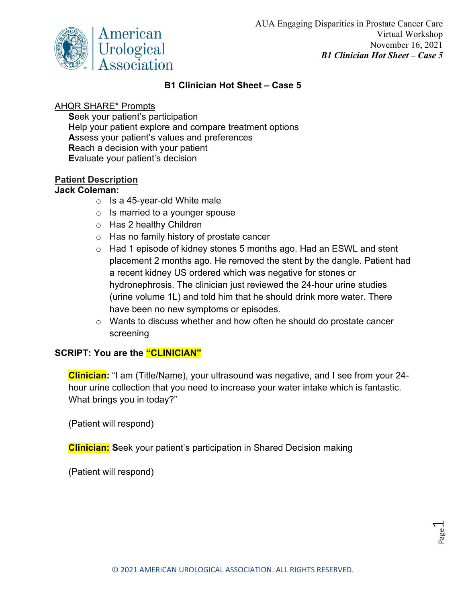

## **B1 Clinician Hot Sheet – Case 5**

## AHQR SHARE\* Prompts

**S**eek your patient's participation **H**elp your patient explore and compare treatment options **A**ssess your patient's values and preferences **R**each a decision with your patient **E**valuate your patient's decision

## **Patient Description**

### **Jack Coleman:**

- $\circ$  Is a 45-year-old White male
- $\circ$  Is married to a younger spouse
- o Has 2 healthy Children
- o Has no family history of prostate cancer
- o Had 1 episode of kidney stones 5 months ago. Had an ESWL and stent placement 2 months ago. He removed the stent by the dangle. Patient had a recent kidney US ordered which was negative for stones or hydronephrosis. The clinician just reviewed the 24-hour urine studies (urine volume 1L) and told him that he should drink more water. There have been no new symptoms or episodes.
- o Wants to discuss whether and how often he should do prostate cancer screening

# **SCRIPT: You are the "CLINICIAN"**

**Clinician:** "I am (Title/Name), your ultrasound was negative, and I see from your 24 hour urine collection that you need to increase your water intake which is fantastic. What brings you in today?"

(Patient will respond)

**Clinician: S**eek your patient's participation in Shared Decision making

(Patient will respond)